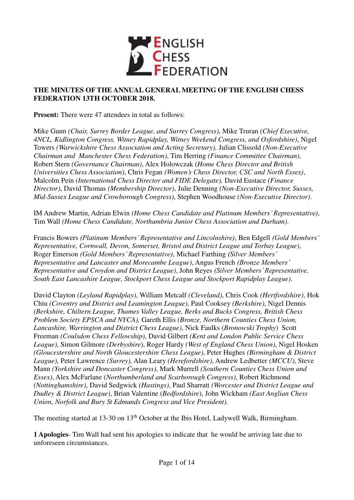

### **THE MINUTES OF THE ANNUAL GENERAL MEETING OF THE ENGLISH CHESS FEDERATION 13TH OCTOBER 2018.**

**Present:** There were 47 attendees in total as follows:

Mike Gunn *(Chair, Surrey Border League, and Surrey Congress)*, Mike Truran (*Chief Executive, 4NCL, Kidlington Congress, Witney Rapidplay, Witney Weekend Congress, and Oxfordshire)*, Nigel Towers *(Warwickshire Chess Association and Acting Secretary),* Julian Clissold *(Non-Executive Chairman and Manchester Chess Federation)*, Tim Herring *(Finance Committee Chairman)*, Robert Stern *(Governance Chairman)*, Alex Holowczak (*Home Chess Director and British Universities Chess Association*), Chris Fegan *(Women's Chess Director, CSC and North Essex)*, Malcolm Pein *(International Chess Director and FIDE Delegate),* David Eustace *(Finance Director)*, David Thomas *(Membership Director)*, Julie Denning *(Non-Executive Director, Sussex, Mid-Sussex League and Crowborough Congress)*, Stephen Woodhouse *(Non-Executive Director)*.

IM Andrew Martin, Adrian Elwin *(Home Chess Candidate and Platinum Members' Representative)*, Tim Wall *(Home Chess Candidate, Northumbria Junior Chess Association and Durham)*.

Francis Bowers *(Platinum Members' Representative and Lincolnshire)*, Ben Edgell *(Gold Members' Representative, Cornwall, Devon, Somerset, Bristol and District League and Torbay League)*, Roger Emerson *(Gold Members' Representative)*, Michael Farthing *(Silver Members' Representative and Lancaster and Morecambe League)*, Angus French *(Bronze Members' Representative and Croydon and District League)*, John Reyes *(Silver Members' Representative, South East Lancashire League, Stockport Chess League and Stockport Rapidplay League)*.

David Clayton *(Leyland Rapidplay)*, William Metcalf *(Cleveland)*, Chris Cook *(Hertfordshire)*, Hok Chiu *(Coventry and District and Leamington League)*, Paul Cooksey *(Berkshire)*, Nigel Dennis *(Berkshire, Chiltern League, Thames Valley League, Berks and Bucks Congress, British Chess Problem Society EPSCA and NYCA),* Gareth Ellis *(Bronze, Northern Counties Chess Union, Lancashire, Warrington and District Chess League)*, Nick Faulks (*Bronowski Trophy*) Scott Freeman *(Coulsdon Chess Fellowship)*, David Gilbert *(Kent and London Public Service Chess League)*, Simon Gilmore *(Derbyshire*), Roger Hardy *(West of England Chess Union)*, Nigel Hosken *(Gloucestershire and North Gloucestershire Chess League)*, Peter Hughes *(Birmingham & District League),* Peter Lawrence *(Surrey),* Alan Leary *(Herefordshire)*, Andrew Ledbetter *(MCCU)*, Steve Mann *(Yorkshire and Doncaster Congress)*, Mark Murrell *(Southern Counties Chess Union and Essex)*, Alex McFarlane (*Northumberland and Scarborough Congress)*, Robert Richmond *(Nottinghamshire)*, David Sedgwick *(Hastings)*, Paul Sharratt *(Worcester and District League and Dudley & District League)*, Brian Valentine (*Bedfordshire*), John Wickham *(East Anglian Chess Union, Norfolk and Bury St Edmunds Congress and Vice President).*

The meeting started at 13-30 on 13<sup>th</sup> October at the Ibis Hotel, Ladywell Walk, Birmingham.

**1 Apologies**- Tim Wall had sent his apologies to indicate that he would be arriving late due to unforeseen circumstances.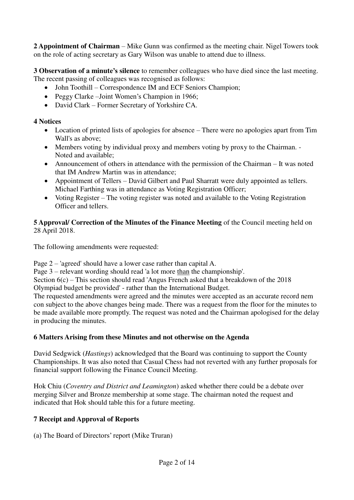**2 Appointment of Chairman** – Mike Gunn was confirmed as the meeting chair. Nigel Towers took on the role of acting secretary as Gary Wilson was unable to attend due to illness.

**3 Observation of a minute's silence** to remember colleagues who have died since the last meeting. The recent passing of colleagues was recognised as follows:

- John Toothill Correspondence IM and ECF Seniors Champion;
- Peggy Clarke –Joint Women's Champion in 1966;
- David Clark Former Secretary of Yorkshire CA.

## **4 Notices**

- Location of printed lists of apologies for absence There were no apologies apart from Tim Wall's as above;
- Members voting by individual proxy and members voting by proxy to the Chairman. Noted and available;
- Announcement of others in attendance with the permission of the Chairman It was noted that IM Andrew Martin was in attendance;
- Appointment of Tellers David Gilbert and Paul Sharratt were duly appointed as tellers. Michael Farthing was in attendance as Voting Registration Officer;
- Voting Register The voting register was noted and available to the Voting Registration Officer and tellers.

## **5 Approval/ Correction of the Minutes of the Finance Meeting** of the Council meeting held on 28 April 2018.

The following amendments were requested:

Page 2 – 'agreed' should have a lower case rather than capital A.

Page 3 – relevant wording should read 'a lot more than the championship'.

Section 6(c) – This section should read 'Angus French asked that a breakdown of the 2018

Olympiad budget be provided' - rather than the International Budget.

The requested amendments were agreed and the minutes were accepted as an accurate record nem con subject to the above changes being made. There was a request from the floor for the minutes to be made available more promptly. The request was noted and the Chairman apologised for the delay in producing the minutes.

# **6 Matters Arising from these Minutes and not otherwise on the Agenda**

David Sedgwick (*Hastings*) acknowledged that the Board was continuing to support the County Championships. It was also noted that Casual Chess had not reverted with any further proposals for financial support following the Finance Council Meeting.

Hok Chiu (*Coventry and District and Leamington*) asked whether there could be a debate over merging Silver and Bronze membership at some stage. The chairman noted the request and indicated that Hok should table this for a future meeting.

# **7 Receipt and Approval of Reports**

(a) The Board of Directors' report (Mike Truran)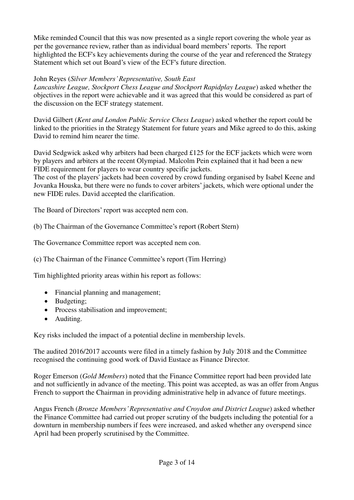Mike reminded Council that this was now presented as a single report covering the whole year as per the governance review, rather than as individual board members' reports. The report highlighted the ECF's key achievements during the course of the year and referenced the Strategy Statement which set out Board's view of the ECF's future direction.

## John Reyes (*Silver Members' Representative, South East*

*Lancashire League, Stockport Chess League and Stockport Rapidplay League*) asked whether the objectives in the report were achievable and it was agreed that this would be considered as part of the discussion on the ECF strategy statement.

David Gilbert (*Kent and London Public Service Chess League*) asked whether the report could be linked to the priorities in the Strategy Statement for future years and Mike agreed to do this, asking David to remind him nearer the time.

David Sedgwick asked why arbiters had been charged £125 for the ECF jackets which were worn by players and arbiters at the recent Olympiad. Malcolm Pein explained that it had been a new FIDE requirement for players to wear country specific jackets.

The cost of the players' jackets had been covered by crowd funding organised by Isabel Keene and Jovanka Houska, but there were no funds to cover arbiters' jackets, which were optional under the new FIDE rules. David accepted the clarification.

The Board of Directors' report was accepted nem con.

(b) The Chairman of the Governance Committee's report (Robert Stern)

The Governance Committee report was accepted nem con.

(c) The Chairman of the Finance Committee's report (Tim Herring)

Tim highlighted priority areas within his report as follows:

- Financial planning and management;
- Budgeting;
- Process stabilisation and improvement;
- Auditing.

Key risks included the impact of a potential decline in membership levels.

The audited 2016/2017 accounts were filed in a timely fashion by July 2018 and the Committee recognised the continuing good work of David Eustace as Finance Director.

Roger Emerson (*Gold Members*) noted that the Finance Committee report had been provided late and not sufficiently in advance of the meeting. This point was accepted, as was an offer from Angus French to support the Chairman in providing administrative help in advance of future meetings.

Angus French (*Bronze Members' Representative and Croydon and District League*) asked whether the Finance Committee had carried out proper scrutiny of the budgets including the potential for a downturn in membership numbers if fees were increased, and asked whether any overspend since April had been properly scrutinised by the Committee.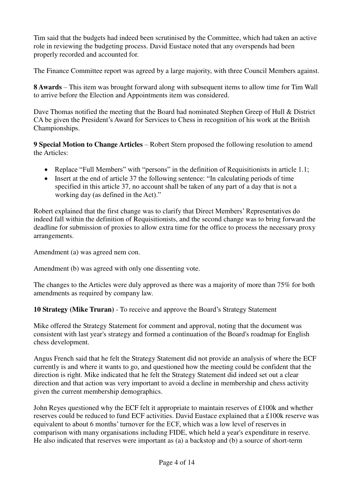Tim said that the budgets had indeed been scrutinised by the Committee, which had taken an active role in reviewing the budgeting process. David Eustace noted that any overspends had been properly recorded and accounted for.

The Finance Committee report was agreed by a large majority, with three Council Members against.

**8 Awards** – This item was brought forward along with subsequent items to allow time for Tim Wall to arrive before the Election and Appointments item was considered.

Dave Thomas notified the meeting that the Board had nominated Stephen Greep of Hull & District CA be given the President's Award for Services to Chess in recognition of his work at the British Championships.

**9 Special Motion to Change Articles** – Robert Stern proposed the following resolution to amend the Articles:

- Replace "Full Members" with "persons" in the definition of Requisitionists in article 1.1;
- Insert at the end of article 37 the following sentence: "In calculating periods of time specified in this article 37, no account shall be taken of any part of a day that is not a working day (as defined in the Act)."

Robert explained that the first change was to clarify that Direct Members' Representatives do indeed fall within the definition of Requisitionists, and the second change was to bring forward the deadline for submission of proxies to allow extra time for the office to process the necessary proxy arrangements.

Amendment (a) was agreed nem con.

Amendment (b) was agreed with only one dissenting vote.

The changes to the Articles were duly approved as there was a majority of more than 75% for both amendments as required by company law.

**10 Strategy (Mike Truran)** - To receive and approve the Board's Strategy Statement

Mike offered the Strategy Statement for comment and approval, noting that the document was consistent with last year's strategy and formed a continuation of the Board's roadmap for English chess development.

Angus French said that he felt the Strategy Statement did not provide an analysis of where the ECF currently is and where it wants to go, and questioned how the meeting could be confident that the direction is right. Mike indicated that he felt the Strategy Statement did indeed set out a clear direction and that action was very important to avoid a decline in membership and chess activity given the current membership demographics.

John Reyes questioned why the ECF felt it appropriate to maintain reserves of £100k and whether reserves could be reduced to fund ECF activities. David Eustace explained that a £100k reserve was equivalent to about 6 months' turnover for the ECF, which was a low level of reserves in comparison with many organisations including FIDE, which held a year's expenditure in reserve. He also indicated that reserves were important as (a) a backstop and (b) a source of short-term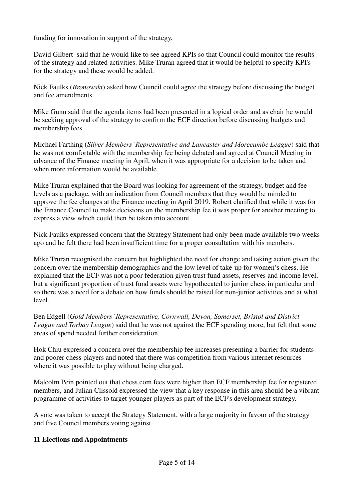funding for innovation in support of the strategy.

David Gilbert said that he would like to see agreed KPIs so that Council could monitor the results of the strategy and related activities. Mike Truran agreed that it would be helpful to specify KPI's for the strategy and these would be added.

Nick Faulks (*Bronowski*) asked how Council could agree the strategy before discussing the budget and fee amendments.

Mike Gunn said that the agenda items had been presented in a logical order and as chair he would be seeking approval of the strategy to confirm the ECF direction before discussing budgets and membership fees.

Michael Farthing (*Silver Members' Representative and Lancaster and Morecambe League*) said that he was not comfortable with the membership fee being debated and agreed at Council Meeting in advance of the Finance meeting in April, when it was appropriate for a decision to be taken and when more information would be available.

Mike Truran explained that the Board was looking for agreement of the strategy, budget and fee levels as a package, with an indication from Council members that they would be minded to approve the fee changes at the Finance meeting in April 2019. Robert clarified that while it was for the Finance Council to make decisions on the membership fee it was proper for another meeting to express a view which could then be taken into account.

Nick Faulks expressed concern that the Strategy Statement had only been made available two weeks ago and he felt there had been insufficient time for a proper consultation with his members.

Mike Truran recognised the concern but highlighted the need for change and taking action given the concern over the membership demographics and the low level of take-up for women's chess. He explained that the ECF was not a poor federation given trust fund assets, reserves and income level, but a significant proportion of trust fund assets were hypothecated to junior chess in particular and so there was a need for a debate on how funds should be raised for non-junior activities and at what level.

Ben Edgell (*Gold Members' Representative, Cornwall, Devon, Somerset, Bristol and District League and Torbay League*) said that he was not against the ECF spending more, but felt that some areas of spend needed further consideration.

Hok Chiu expressed a concern over the membership fee increases presenting a barrier for students and poorer chess players and noted that there was competition from various internet resources where it was possible to play without being charged.

Malcolm Pein pointed out that chess.com fees were higher than ECF membership fee for registered members, and Julian Clissold expressed the view that a key response in this area should be a vibrant programme of activities to target younger players as part of the ECF's development strategy.

A vote was taken to accept the Strategy Statement, with a large majority in favour of the strategy and five Council members voting against.

### **11 Elections and Appointments**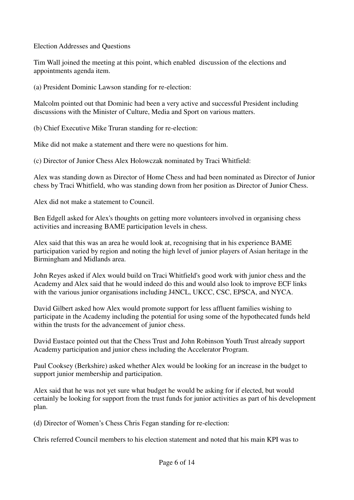Election Addresses and Questions

Tim Wall joined the meeting at this point, which enabled discussion of the elections and appointments agenda item.

(a) President Dominic Lawson standing for re-election:

Malcolm pointed out that Dominic had been a very active and successful President including discussions with the Minister of Culture, Media and Sport on various matters.

(b) Chief Executive Mike Truran standing for re-election:

Mike did not make a statement and there were no questions for him.

(c) Director of Junior Chess Alex Holowczak nominated by Traci Whitfield:

Alex was standing down as Director of Home Chess and had been nominated as Director of Junior chess by Traci Whitfield, who was standing down from her position as Director of Junior Chess.

Alex did not make a statement to Council.

Ben Edgell asked for Alex's thoughts on getting more volunteers involved in organising chess activities and increasing BAME participation levels in chess.

Alex said that this was an area he would look at, recognising that in his experience BAME participation varied by region and noting the high level of junior players of Asian heritage in the Birmingham and Midlands area.

John Reyes asked if Alex would build on Traci Whitfield's good work with junior chess and the Academy and Alex said that he would indeed do this and would also look to improve ECF links with the various junior organisations including J4NCL, UKCC, CSC, EPSCA, and NYCA.

David Gilbert asked how Alex would promote support for less affluent families wishing to participate in the Academy including the potential for using some of the hypothecated funds held within the trusts for the advancement of junior chess.

David Eustace pointed out that the Chess Trust and John Robinson Youth Trust already support Academy participation and junior chess including the Accelerator Program.

Paul Cooksey (Berkshire) asked whether Alex would be looking for an increase in the budget to support junior membership and participation.

Alex said that he was not yet sure what budget he would be asking for if elected, but would certainly be looking for support from the trust funds for junior activities as part of his development plan.

(d) Director of Women's Chess Chris Fegan standing for re-election:

Chris referred Council members to his election statement and noted that his main KPI was to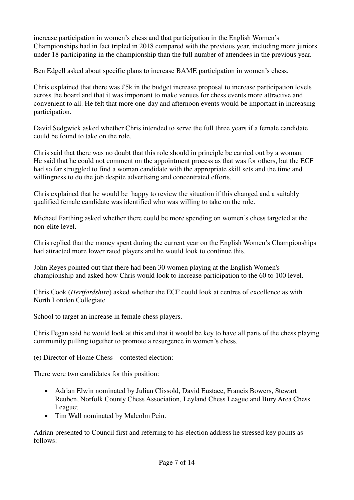increase participation in women's chess and that participation in the English Women's Championships had in fact tripled in 2018 compared with the previous year, including more juniors under 18 participating in the championship than the full number of attendees in the previous year.

Ben Edgell asked about specific plans to increase BAME participation in women's chess.

Chris explained that there was £5k in the budget increase proposal to increase participation levels across the board and that it was important to make venues for chess events more attractive and convenient to all. He felt that more one-day and afternoon events would be important in increasing participation.

David Sedgwick asked whether Chris intended to serve the full three years if a female candidate could be found to take on the role.

Chris said that there was no doubt that this role should in principle be carried out by a woman. He said that he could not comment on the appointment process as that was for others, but the ECF had so far struggled to find a woman candidate with the appropriate skill sets and the time and willingness to do the job despite advertising and concentrated efforts.

Chris explained that he would be happy to review the situation if this changed and a suitably qualified female candidate was identified who was willing to take on the role.

Michael Farthing asked whether there could be more spending on women's chess targeted at the non-elite level.

Chris replied that the money spent during the current year on the English Women's Championships had attracted more lower rated players and he would look to continue this.

John Reyes pointed out that there had been 30 women playing at the English Women's championship and asked how Chris would look to increase participation to the 60 to 100 level.

Chris Cook (*Hertfordshire*) asked whether the ECF could look at centres of excellence as with North London Collegiate

School to target an increase in female chess players.

Chris Fegan said he would look at this and that it would be key to have all parts of the chess playing community pulling together to promote a resurgence in women's chess.

(e) Director of Home Chess – contested election:

There were two candidates for this position:

- Adrian Elwin nominated by Julian Clissold, David Eustace, Francis Bowers, Stewart Reuben, Norfolk County Chess Association, Leyland Chess League and Bury Area Chess League;
- Tim Wall nominated by Malcolm Pein.

Adrian presented to Council first and referring to his election address he stressed key points as follows: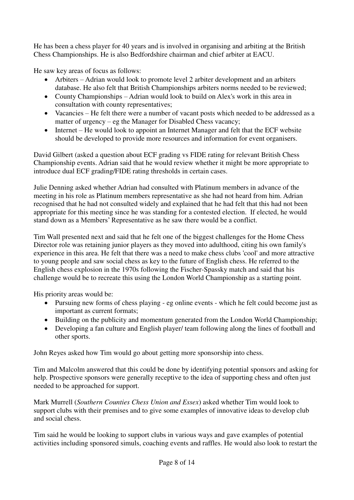He has been a chess player for 40 years and is involved in organising and arbiting at the British Chess Championships. He is also Bedfordshire chairman and chief arbiter at EACU.

He saw key areas of focus as follows:

- Arbiters Adrian would look to promote level 2 arbiter development and an arbiters database. He also felt that British Championships arbiters norms needed to be reviewed;
- County Championships Adrian would look to build on Alex's work in this area in consultation with county representatives;
- Vacancies He felt there were a number of vacant posts which needed to be addressed as a matter of urgency – eg the Manager for Disabled Chess vacancy;
- Internet He would look to appoint an Internet Manager and felt that the ECF website should be developed to provide more resources and information for event organisers.

David Gilbert (asked a question about ECF grading vs FIDE rating for relevant British Chess Championship events. Adrian said that he would review whether it might be more appropriate to introduce dual ECF grading/FIDE rating thresholds in certain cases.

Julie Denning asked whether Adrian had consulted with Platinum members in advance of the meeting in his role as Platinum members representative as she had not heard from him. Adrian recognised that he had not consulted widely and explained that he had felt that this had not been appropriate for this meeting since he was standing for a contested election. If elected, he would stand down as a Members' Representative as he saw there would be a conflict.

Tim Wall presented next and said that he felt one of the biggest challenges for the Home Chess Director role was retaining junior players as they moved into adulthood, citing his own family's experience in this area. He felt that there was a need to make chess clubs 'cool' and more attractive to young people and saw social chess as key to the future of English chess. He referred to the English chess explosion in the 1970s following the Fischer-Spassky match and said that his challenge would be to recreate this using the London World Championship as a starting point.

His priority areas would be:

- Pursuing new forms of chess playing eg online events which he felt could become just as important as current formats;
- Building on the publicity and momentum generated from the London World Championship;
- Developing a fan culture and English player/ team following along the lines of football and other sports.

John Reyes asked how Tim would go about getting more sponsorship into chess.

Tim and Malcolm answered that this could be done by identifying potential sponsors and asking for help. Prospective sponsors were generally receptive to the idea of supporting chess and often just needed to be approached for support.

Mark Murrell (*Southern Counties Chess Union and Essex*) asked whether Tim would look to support clubs with their premises and to give some examples of innovative ideas to develop club and social chess.

Tim said he would be looking to support clubs in various ways and gave examples of potential activities including sponsored simuls, coaching events and raffles. He would also look to restart the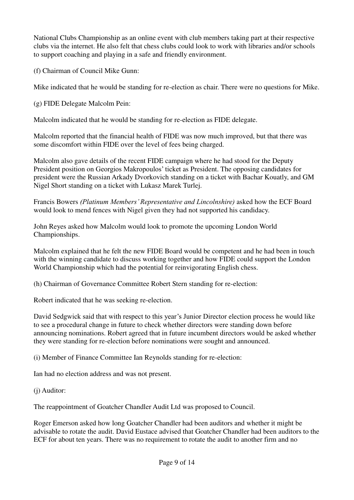National Clubs Championship as an online event with club members taking part at their respective clubs via the internet. He also felt that chess clubs could look to work with libraries and/or schools to support coaching and playing in a safe and friendly environment.

(f) Chairman of Council Mike Gunn:

Mike indicated that he would be standing for re-election as chair. There were no questions for Mike.

(g) FIDE Delegate Malcolm Pein:

Malcolm indicated that he would be standing for re-election as FIDE delegate.

Malcolm reported that the financial health of FIDE was now much improved, but that there was some discomfort within FIDE over the level of fees being charged.

Malcolm also gave details of the recent FIDE campaign where he had stood for the Deputy President position on Georgios Makropoulos' ticket as President. The opposing candidates for president were the Russian Arkady Dvorkovich standing on a ticket with Bachar Kouatly, and GM Nigel Short standing on a ticket with Lukasz Marek Turlej.

Francis Bowers *(Platinum Members' Representative and Lincolnshire)* asked how the ECF Board would look to mend fences with Nigel given they had not supported his candidacy.

John Reyes asked how Malcolm would look to promote the upcoming London World Championships.

Malcolm explained that he felt the new FIDE Board would be competent and he had been in touch with the winning candidate to discuss working together and how FIDE could support the London World Championship which had the potential for reinvigorating English chess.

(h) Chairman of Governance Committee Robert Stern standing for re-election:

Robert indicated that he was seeking re-election.

David Sedgwick said that with respect to this year's Junior Director election process he would like to see a procedural change in future to check whether directors were standing down before announcing nominations. Robert agreed that in future incumbent directors would be asked whether they were standing for re-election before nominations were sought and announced.

(i) Member of Finance Committee Ian Reynolds standing for re-election:

Ian had no election address and was not present.

(j) Auditor:

The reappointment of Goatcher Chandler Audit Ltd was proposed to Council.

Roger Emerson asked how long Goatcher Chandler had been auditors and whether it might be advisable to rotate the audit. David Eustace advised that Goatcher Chandler had been auditors to the ECF for about ten years. There was no requirement to rotate the audit to another firm and no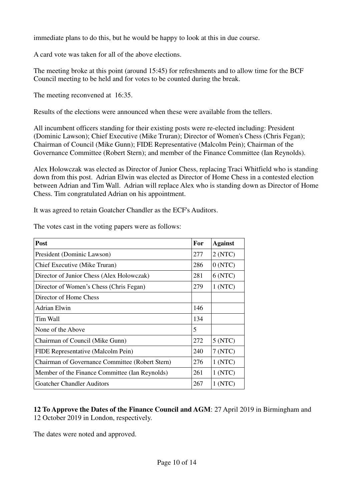immediate plans to do this, but he would be happy to look at this in due course.

A card vote was taken for all of the above elections.

The meeting broke at this point (around 15:45) for refreshments and to allow time for the BCF Council meeting to be held and for votes to be counted during the break.

The meeting reconvened at 16:35.

Results of the elections were announced when these were available from the tellers.

All incumbent officers standing for their existing posts were re-elected including: President (Dominic Lawson); Chief Executive (Mike Truran); Director of Women's Chess (Chris Fegan); Chairman of Council (Mike Gunn); FIDE Representative (Malcolm Pein); Chairman of the Governance Committee (Robert Stern); and member of the Finance Committee (Ian Reynolds).

Alex Holowczak was elected as Director of Junior Chess, replacing Traci Whitfield who is standing down from this post. Adrian Elwin was elected as Director of Home Chess in a contested election between Adrian and Tim Wall. Adrian will replace Alex who is standing down as Director of Home Chess. Tim congratulated Adrian on his appointment.

It was agreed to retain Goatcher Chandler as the ECF's Auditors.

| Post                                            | For | <b>Against</b> |
|-------------------------------------------------|-----|----------------|
| President (Dominic Lawson)                      | 277 | 2(NTC)         |
| Chief Executive (Mike Truran)                   | 286 | 0(NTC)         |
| Director of Junior Chess (Alex Holowczak)       | 281 | 6 (NTC)        |
| Director of Women's Chess (Chris Fegan)         | 279 | 1(NTC)         |
| Director of Home Chess                          |     |                |
| Adrian Elwin                                    | 146 |                |
| Tim Wall                                        | 134 |                |
| None of the Above                               | 5   |                |
| Chairman of Council (Mike Gunn)                 | 272 | 5 (NTC)        |
| FIDE Representative (Malcolm Pein)              | 240 | 7 (NTC)        |
| Chairman of Governance Committee (Robert Stern) | 276 | 1 (NTC)        |
| Member of the Finance Committee (Ian Reynolds)  | 261 | 1 (NTC)        |
| <b>Goatcher Chandler Auditors</b>               | 267 | 1(NTC)         |

The votes cast in the voting papers were as follows:

**12 To Approve the Dates of the Finance Council and AGM**: 27 April 2019 in Birmingham and 12 October 2019 in London, respectively.

The dates were noted and approved.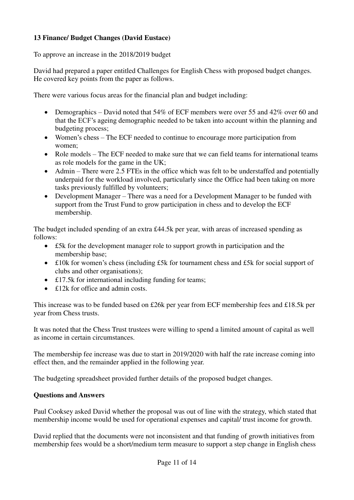# **13 Finance/ Budget Changes (David Eustace)**

To approve an increase in the 2018/2019 budget

David had prepared a paper entitled Challenges for English Chess with proposed budget changes. He covered key points from the paper as follows.

There were various focus areas for the financial plan and budget including:

- Demographics David noted that 54% of ECF members were over 55 and 42% over 60 and that the ECF's ageing demographic needed to be taken into account within the planning and budgeting process;
- Women's chess The ECF needed to continue to encourage more participation from women;
- Role models The ECF needed to make sure that we can field teams for international teams as role models for the game in the UK;
- Admin There were 2.5 FTEs in the office which was felt to be understaffed and potentially underpaid for the workload involved, particularly since the Office had been taking on more tasks previously fulfilled by volunteers;
- Development Manager There was a need for a Development Manager to be funded with support from the Trust Fund to grow participation in chess and to develop the ECF membership.

The budget included spending of an extra £44.5k per year, with areas of increased spending as follows:

- £5k for the development manager role to support growth in participation and the membership base;
- £10k for women's chess (including £5k for tournament chess and £5k for social support of clubs and other organisations);
- £17.5k for international including funding for teams:
- £12k for office and admin costs.

This increase was to be funded based on £26k per year from ECF membership fees and £18.5k per year from Chess trusts.

It was noted that the Chess Trust trustees were willing to spend a limited amount of capital as well as income in certain circumstances.

The membership fee increase was due to start in 2019/2020 with half the rate increase coming into effect then, and the remainder applied in the following year.

The budgeting spreadsheet provided further details of the proposed budget changes.

### **Questions and Answers**

Paul Cooksey asked David whether the proposal was out of line with the strategy, which stated that membership income would be used for operational expenses and capital/ trust income for growth.

David replied that the documents were not inconsistent and that funding of growth initiatives from membership fees would be a short/medium term measure to support a step change in English chess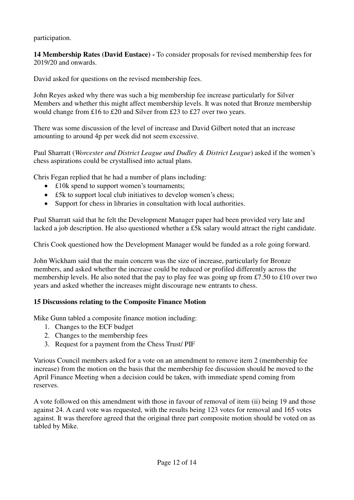participation.

**14 Membership Rates (David Eustace) -** To consider proposals for revised membership fees for 2019/20 and onwards.

David asked for questions on the revised membership fees.

John Reyes asked why there was such a big membership fee increase particularly for Silver Members and whether this might affect membership levels. It was noted that Bronze membership would change from £16 to £20 and Silver from £23 to £27 over two years.

There was some discussion of the level of increase and David Gilbert noted that an increase amounting to around 4p per week did not seem excessive.

Paul Sharratt (*Worcester and District League and Dudley & District League*) asked if the women's chess aspirations could be crystallised into actual plans.

Chris Fegan replied that he had a number of plans including:

- £10k spend to support women's tournaments;
- £5k to support local club initiatives to develop women's chess:
- Support for chess in libraries in consultation with local authorities.

Paul Sharratt said that he felt the Development Manager paper had been provided very late and lacked a job description. He also questioned whether a £5k salary would attract the right candidate.

Chris Cook questioned how the Development Manager would be funded as a role going forward.

John Wickham said that the main concern was the size of increase, particularly for Bronze members, and asked whether the increase could be reduced or profiled differently across the membership levels. He also noted that the pay to play fee was going up from £7.50 to £10 over two years and asked whether the increases might discourage new entrants to chess.

# **15 Discussions relating to the Composite Finance Motion**

Mike Gunn tabled a composite finance motion including:

- 1. Changes to the ECF budget
- 2. Changes to the membership fees
- Request for a payment from the Chess Trust/ PIF

Various Council members asked for a vote on an amendment to remove item 2 (membership fee increase) from the motion on the basis that the membership fee discussion should be moved to the April Finance Meeting when a decision could be taken, with immediate spend coming from reserves.

A vote followed on this amendment with those in favour of removal of item (ii) being 19 and those against 24. A card vote was requested, with the results being 123 votes for removal and 165 votes against. It was therefore agreed that the original three part composite motion should be voted on as tabled by Mike.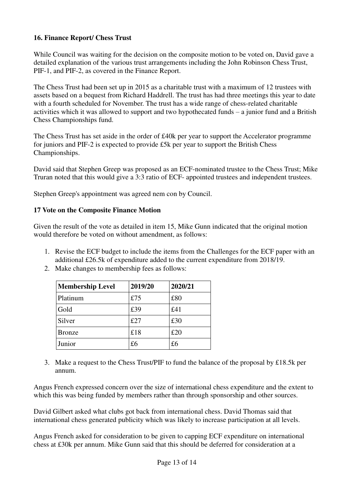## **16. Finance Report/ Chess Trust**

While Council was waiting for the decision on the composite motion to be voted on, David gave a detailed explanation of the various trust arrangements including the John Robinson Chess Trust, PIF-1, and PIF-2, as covered in the Finance Report.

The Chess Trust had been set up in 2015 as a charitable trust with a maximum of 12 trustees with assets based on a bequest from Richard Haddrell. The trust has had three meetings this year to date with a fourth scheduled for November. The trust has a wide range of chess-related charitable activities which it was allowed to support and two hypothecated funds – a junior fund and a British Chess Championships fund.

The Chess Trust has set aside in the order of £40k per year to support the Accelerator programme for juniors and PIF-2 is expected to provide £5k per year to support the British Chess Championships.

David said that Stephen Greep was proposed as an ECF-nominated trustee to the Chess Trust; Mike Truran noted that this would give a 3:3 ratio of ECF- appointed trustees and independent trustees.

Stephen Greep's appointment was agreed nem con by Council.

## **17 Vote on the Composite Finance Motion**

Given the result of the vote as detailed in item 15, Mike Gunn indicated that the original motion would therefore be voted on without amendment, as follows:

- 1. Revise the ECF budget to include the items from the Challenges for the ECF paper with an additional £26.5k of expenditure added to the current expenditure from 2018/19.
- 2. Make changes to membership fees as follows:

| <b>Membership Level</b> | 2019/20 | 2020/21 |
|-------------------------|---------|---------|
| Platinum                | £75     | £80     |
| Gold                    | £39     | £41     |
| Silver                  | £27     | £30     |
| <b>Bronze</b>           | £18     | £20     |
| Junior                  | £6      | £6      |

 Make a request to the Chess Trust/PIF to fund the balance of the proposal by £18.5k per annum.

Angus French expressed concern over the size of international chess expenditure and the extent to which this was being funded by members rather than through sponsorship and other sources.

David Gilbert asked what clubs got back from international chess. David Thomas said that international chess generated publicity which was likely to increase participation at all levels.

Angus French asked for consideration to be given to capping ECF expenditure on international chess at £30k per annum. Mike Gunn said that this should be deferred for consideration at a